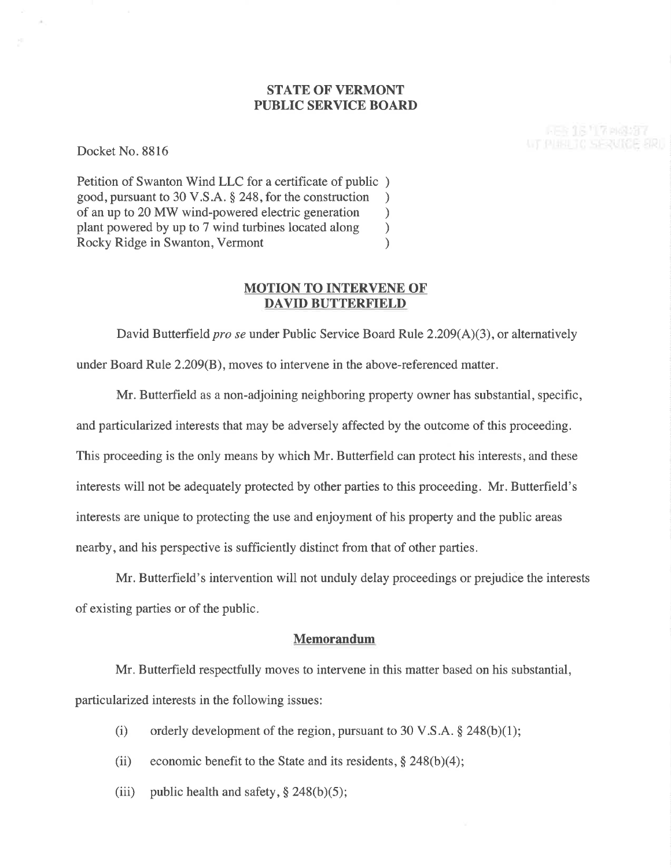## **STATE OF VERMONT** PUBLIC SERVICE BOARI)

**FEB 15 17 PM287 WE PHAN TO SERVICE ERIT** 

Docket No. 8816

Petition of Swanton Wind LLC for a certificate of public ) good, pursuant to 30 V.S.A. § 248, for the construction <br>of an up to 20 MW wind-powered electric generation of an up to 20 MW wind-powered electric generation<br>plant powered by up to 7 wind turbines located along plant powered by up to 7 wind turbines located along <br>Rocky Ridge in Swanton. Vermont (a) Rocky Ridge in Swanton, Vermont )

## MOTION TO INTERVENE OF' DAVID BUTTERF'IELD

David Butterfield *pro se* under Public Service Board Rule  $2.209(A)(3)$ , or alternatively under Board Rule 2.209(B), moves to intervene in the above-referenced matter.

Mr. Butterfield as a non-adjoining neighboring property owner has substantial, specific, and particularized interests that may be adversely affected by the outcome of this proceeding. This proceeding is the only means by which Mr. Butterfield can protect his interests, and these interests will not be adequately protected by other parties to this proceeding. Mr. Butterfield's interests are unique to protecting the use and enjoyment of his property and the public areas nearby, and his perspective is sufficiently distinct from that of other parties.

Mr. Butterfield's intervention will not unduly delay proceedings or prejudice the interests of existing parties or of the public.

## Memorandum

Mr. Butterfield respectfully moves to intervene in this matter based on his substantial, particularized interests in the following issues:

- (i) orderly development of the region, pursuant to 30 V.S.A.  $\S$  248(b)(1);
- (ii) economic benefit to the State and its residents,  $\S$  248(b)(4);
- (iii) public health and safety,  $\S$  248(b)(5);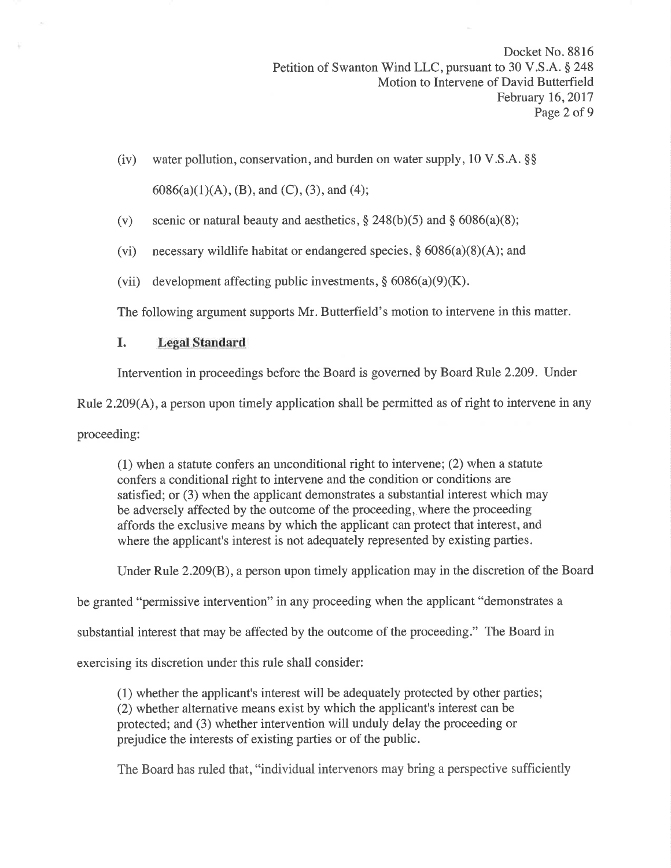- (iv) water pollution, conservation, and burden on water supply,  $10 \text{ V.S.A.}$  \$\$  $6086(a)(1)(A)$ , (B), and (C), (3), and (4);
- (v) scenic or natural beauty and aesthetics,  $\S 248(b)(5)$  and  $\S 6086(a)(8)$ ;
- (vi) necessary wildlife habitat or endangered species,  $\S$  6086(a)(8)(A); and
- (vii) development affecting public investments,  $\S 6086(a)(9)(K)$ .

The following argument supports Mr. Butterfield's motion to intervene in this matter.

# I. Legal Standard

Intervention in proceedings before the Board is governed by Board Rule 2.209. Under

Rule 2.209(A), a person upon timely application shall be permitted as of right to intervene in any

proceeding:

(1) when a statute confers an unconditional right to intervene; (2) when a statute confers a conditional right to intervene and the condition or conditions are satisfied; or (3) when the applicant demonstrates a substantial interest which may be adversely affected by the outcome of the proceeding, where the proceeding affords the exclusive means by which the applicant can protect that interest, and where the applicant's interest is not adequately represented by existing parties.

Under Rule 2.209(B), a person upon timely application may in the discretion of the Board

be granted "permissive intervention" in any proceeding when the applicant "demonstrates a

substantial interest that may be affected by the outcome of the proceeding." The Board in

exercising its discretion under this rule shall consider:

(1) whether the applicant's interest will be adequately protected by other parties; (2) whether alternative means exist by which the applicant's interest can be protected; and (3) whether intervention will unduly delay the proceeding or prejudice the interests of existing parties or of the public.

The Board has ruled that, "individual intervenors may bring a perspective sufficiently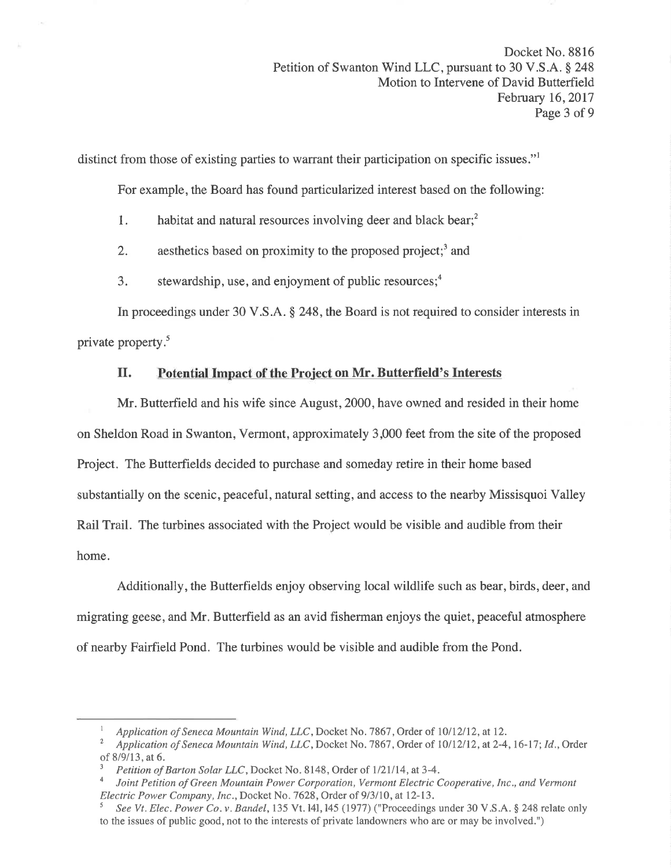distinct from those of existing parties to warrant their participation on specific issues."<sup>1</sup>

For example, the Board has found particularized interest based on the following:

1. habitat and natural resources involving deer and black bear;<sup>2</sup>

2. aesthetics based on proximity to the proposed project;<sup>3</sup> and

3. stewardship, use, and enjoyment of public resources; $<sup>4</sup>$ </sup>

In proceedings under 30 V.S.A. \$ 248, the Board is not required to consider interests in private property.<sup>5</sup>

## II. Potential Impact of the Project on Mr. Butterfield's Interests

Mr. Butterfield and his wife since August,2000, have owned and resided in their home on Sheldon Road in Swanton, Vermont, approximately 3,000 feet from the site of the proposed Project. The Butterfields decided to purchase and someday retire in their home based substantially on the scenic, peaceful, natural setting, and access to the nearby Missisquoi Valley Rail Trail. The turbines associated with the Project would be visible and audible from their home.

Additionally, the Butterfields enjoy observing local wildlife such as bear, birds, deer, and migrating geese, and Mr. Butterfield as an avid fisherman enjoys the quiet, peaceful atmosphere of nearby Fairfield Pond. The turbines would be visible and audible from the Pond.

<sup>&</sup>lt;sup>1</sup> Application of Seneca Mountain Wind, LLC, Docket No. 7867, Order of 10/12/12, at 12.<br><sup>2</sup> Application of Seneca Mountain Wind, LLC, Docket No. 7867, Order of 10/12/12, at 2-4, 16-17; Id., Order of 8/9/13, at 6.  $\frac{3}{P}$  Petition of Barton Solar LLC, Docket No. 8148, Order of 1/21/14, at 3-4.

Joint Petition of Green Mountain Power Corporation, Vermont Electric Cooperative, Inc., and Vermont Electric Power Company, Inc., Docket No. 7628, Order of 9/3/10, at 12-13.

See Vt. Elec. Power Co. v. Bandel, 135 Vt. 141, 145 (1977) ("Proceedings under 30 V.S.A. § 248 relate only to the issues of public good, not to the interests of private landowners who are or may be involved.")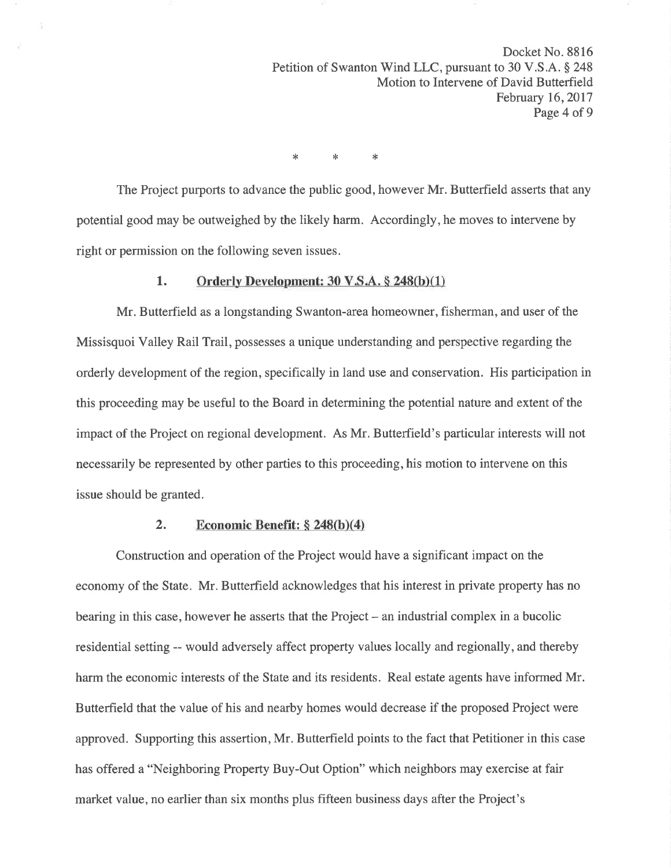Docket No. 8816 Petition of Swanton Wind LLC, pursuant to 30 V.S.A. § 248 Motion to Intervene of David Butterfield February 16,2017 Page 4 of 9

 $*$   $*$   $*$ 

The Project purports to advance the public good, however Mr. Butterfield asserts that any potential good may be outweighed by the likely harm. Accordingly, he moves to intervene by right or permission on the following seven issues.

### 1. Orderly Development:  $30 \text{ V.S.A.} \$   $248(b)(1)$

Mr. Butterfield as a longstanding Swanton-area homeowner, fisherman, and user of the Missisquoi Valley Rail Trail, possesses a unique understanding and perspective regarding the orderly development of the region, specifically in land use and conservation. His participation in this proceeding may be useful to the Board in determining the potential nature and extent of the impact of the Project on regional development. As Mr. Butterfield's particular interests will not necessarily be represented by other parties to this proceeding, his motion to intervene on this issue should be granted.

### 2. Economic Benefit:  $\S 248(b)(4)$

Construction and operation of the Project would have a significant impact on the economy of the State. Mr. Butterfield acknowledges that his interest in private property has no bearing in this case, however he asserts that the Project - an industrial complex in a bucolic residential setting -- would adversely affect property values locally and regionally, and thereby harm the economic interests of the State and its residents. Real estate agents have informed Mr. Butterfield that the value of his and nearby homes would decrease if the proposed Project were approved. Supporting this assertion, Mr. Butterfield points to the fact that Petitioner in this case has offered a "Neighboring Property Buy-Out Option" which neighbors may exercise at fair market value, no earlier than six months plus fifteen business days after the Project's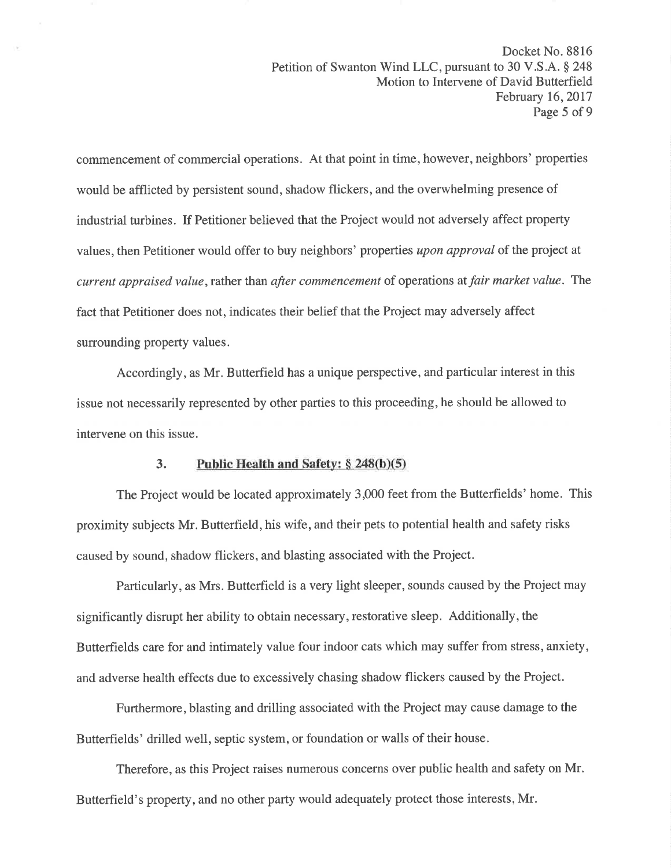commencement of commercial operations. At that point in time, however, neighbors' properties would be afflicted by persistent sound, shadow flickers, and the overwhelming presence of industrial turbines. If Petitioner believed that the Project would not adversely affect property values, then Petitioner would offer to buy neighbors' properties upon approval of the project at current appraised value, rather than after commencement of operations at fair market value. The fact that Petitioner does not, indicates their belief that the Project may adversely affect surrounding property values.

Accordingly, as Mr. Butterfield has a unique perspective, and particular interest in this issue not necessarily represented by other parties to this proceeding, he should be allowed to intervene on this issue.

## 3. Public Health and Safety:  $\S 248(b)(5)$

The Project would be located approximately 3,000 feet from the Butterfields' home. This proximity subjects Mr. Butterfield, his wife, and their pets to potential health and safety risks caused by sound, shadow flickers, and blasting associated with the Project.

Particularly, as Mrs. Butterfield is a very light sleeper, sounds caused by the Project may significantly disrupt her ability to obtain necessary, restorative sleep. Additionally, the Butterfields care for and intimately value four indoor cats which may suffer from stress, anxiety, and adverse health effects due to excessively chasing shadow flickers caused by the Project.

Furthermore, blasting and drilling associated with the Project may cause damage to the Butterfields' drilled well, septic system, or foundation or walls of their house.

Therefore, as this Project raises numerous concerns over public health and safety on Mr. Butterfield's property, and no other party would adequately protect those interests, Mr.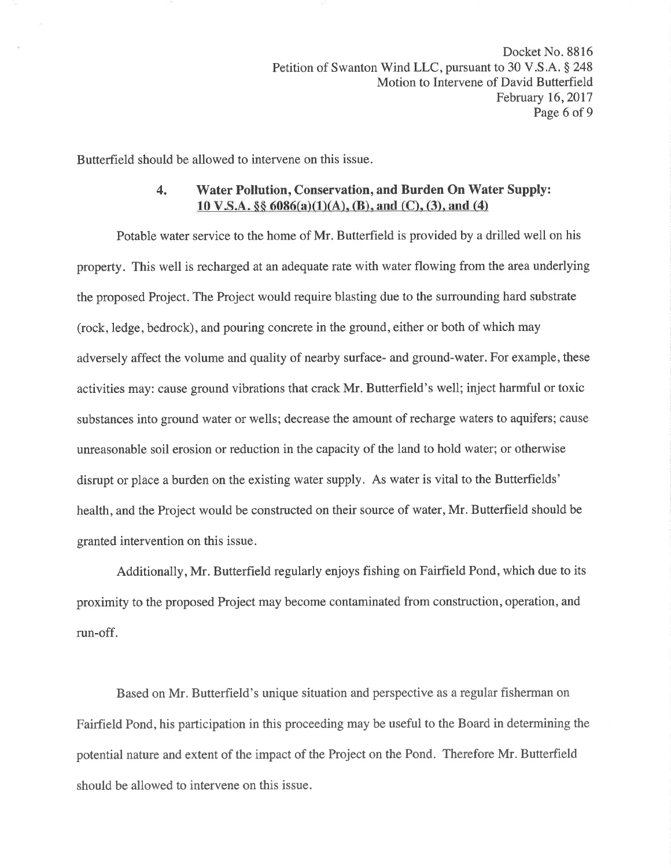Butterfield should be allowed to intervene on this issue.

## 4. Water Pollution, Conservation, and Burden On Water Supply: 10 V.S.A.  $\S\S 6086(a)(1)(A)$ , (B), and (C), (3), and (4)

Potable water service to the home of Mr. Butterfield is provided by a drilled well on his property. This well is recharged at an adequate rate with water flowing from the area underlying the proposed Project. The Project would require blasting due to the surrounding hard substrate (rock, ledge, bedrock), and pouring concrete in the ground, either or both of which may adversely affect the volume and quality of nearby surface- and ground-water. For example, these activities may: cause ground vibrations that crack Mr. Butterfield's well; inject harmful or toxic substances into ground water or wells; decrease the amount of recharge waters to aquifers; cause unreasonable soil erosion or reduction in the capacity of the land to hold water; or otherwise disrupt or place a burden on the existing water supply. As water is vital to the Butterfields' health, and the Project would be constructed on their source of water, Mr. Butterfield should be granted intervention on this issue.

Additionally, Mr. Butterfield regularly enjoys fishing on Fairfield Pond, which due to its proximity to the proposed Project may become contaminated from construction, operation, and run-off.

Based on Mr. Butterfield's unique situation and perspective as a regular fisherman on Fairfield Pond, his participation in this proceeding may be useful to the Board in determining the potential nature and extent of the impact of the Project on the Pond. Therefore Mr. Butterfield should be allowed to intervene on this issue.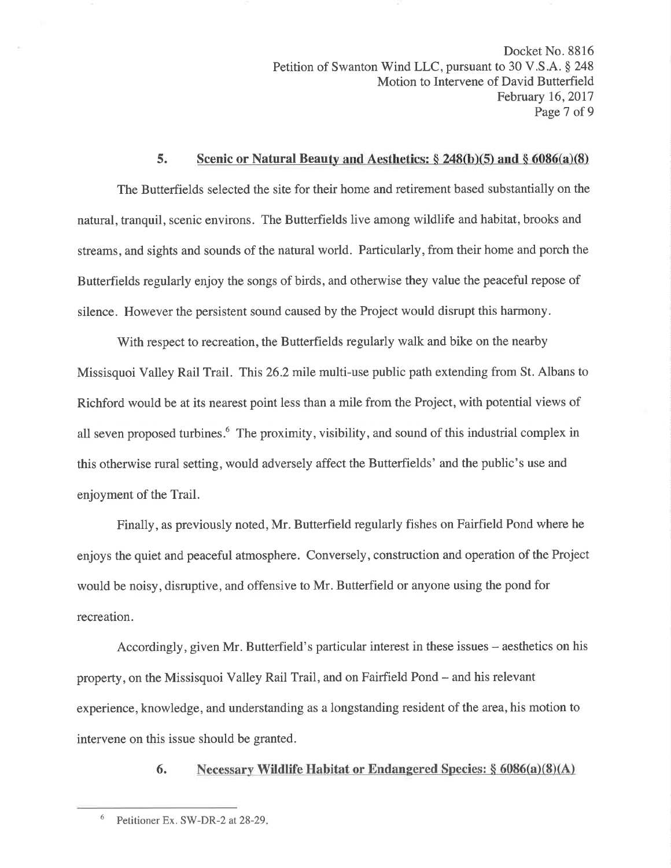Docket No. 8816 Petition of Swanton Wind LLC, pursuant to 30 V.S.A. § 248<br>Motion to Intervene of David Butterfield February 16, 2017 Page 7 of 9

#### 5. Scenic or Natural Beauty and Aesthetics:  $\S 248(b)(5)$  and  $\S 6086(a)(8)$

The Butterfields selected the site for their home and retirement based substantially on the natural, tranquil, scenic environs. The Butterfields live among wildlife and habitat, brooks and streams, and sights and sounds of the natural world. Particularly, from their home and porch the Butterfields regularly enjoy the songs of birds, and otherwise they value the peaceful repose of silence. However the persistent sound caused by the Project would disrupt this harmony.

With respect to recreation, the Butterfields regularly walk and bike on the nearby Missisquoi Valley Rail Trail. This26.2 mile multi-use public path extending from St. Albans to Richford would be at its nearest point less than a mile from the Project, with potential views of all seven proposed turbines.<sup>6</sup> The proximity, visibility, and sound of this industrial complex in this otherwise rural setting, would adversely affect the Butterfields' and the public's use and enjoyment of the Trail.

Finally, as previously noted, Mr. Butterfield regularly fishes on Fairfield Pond where he enjoys the quiet and peaceful atmosphere. Conversely, construction and operation of the Project would be noisy, disruptive, and offensive to Mr. Butterfield or anyone using the pond for recreation.

Accordingly, given Mr. Butterfield's particular interest in these issues – aesthetics on his property, on the Missisquoi Valley Rail Trail, and on Fairfield Pond – and his relevant experience, knowledge, and understanding as a longstanding resident of the area, his motion to intervene on this issue should be granted.

6. Necessary Wildlife Habitat or Endangered Species:  $\S 6086(a)(8)(A)$ 

 $6$  Petitioner Ex. SW-DR-2 at 28-29.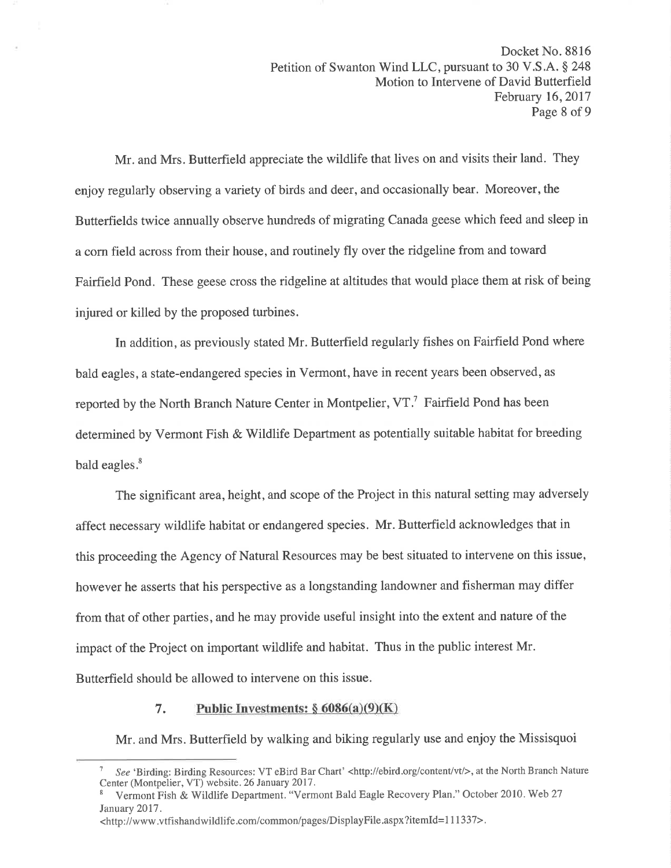Mr. and Mrs. Butterfield appreciate the wildlife that lives on and visits their land. They enjoy regularly observing a variety of birds and deer, and occasionally bear. Moreover, the Butterfields twice annually observe hundreds of migrating Canada geese which feed and sleep in a corn field across from their house, and routinely fly over the ridgeline from and toward Fairfield Pond. These geese cross the ridgeline at altitudes that would place them at risk of being injured or killed by the proposed turbines.

In addition, as previously stated Mr. Butterfield regularly fishes on Fairfield Pond where bald eagles, a state-endangered species in Vermont, have in recent years been observed, as reported by the North Branch Nature Center in Montpelier, VT.<sup>7</sup> Fairfield Pond has been determined by Vermont Fish & Wildlife Department as potentially suitable habitat for breeding bald eagles.<sup>8</sup>

The significant area, height, and scope of the Project in this natural setting may adversely affect necessary wildlife habitat or endangered species. Mr. Butterfield acknowledges that in this proceeding the Agency of Natural Resources may be best situated to intervene on this issue, however he asserts that his perspective as a longstanding landowner and fisherman may differ from that of other parties, and he may provide useful insight into the extent and nature of the impact of the Project on important wildlife and habitat. Thus in the public interest Mr. Butterfield should be allowed to intervene on this issue.

#### Public Investments:  $\S 6086(a)(9)(K)$  $7.$

Mr. and Mrs. Butterfield by walking and biking regularly use and enjoy the Missisquoi

<sup>&</sup>lt;sup>7</sup> See 'Birding: Birding Resources: VT eBird Bar Chart' <http://ebird.org/content/vt/>, at the North Branch Nature Center (Montpelier, VT) website. 26 January 2017.

Vermont Fish & Wildlife Department. "Vermont Bald Eagle Recovery Plan." October 2010. Web 27 January 2017.

<sup>&</sup>lt;http://www.vtfishandwildlife.com/common/pages/DisplayFile.aspx?itemId=111337>.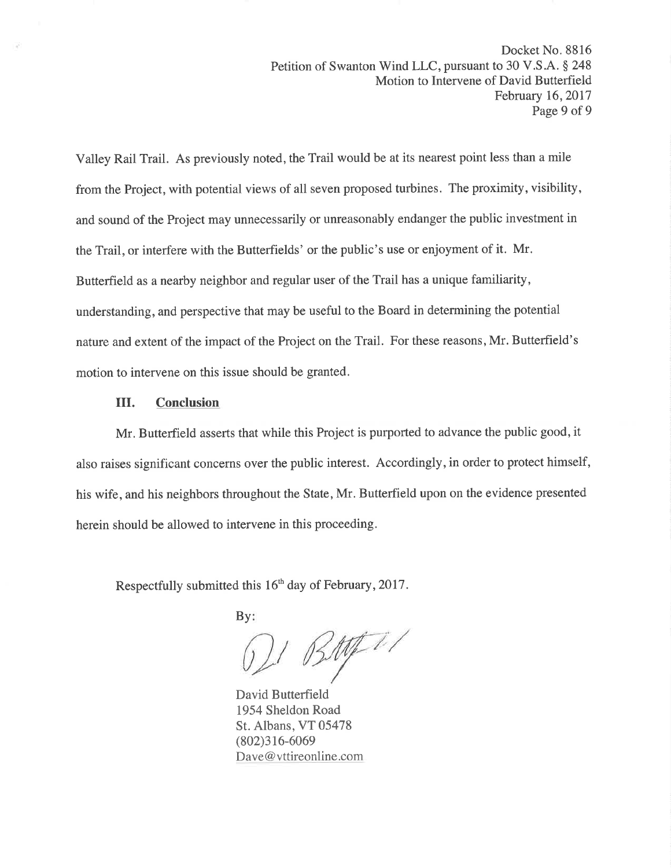Valley Rail Trail. As previously noted, the Trail would be at its nearest point less than a mile from the Project, with potential views of all seven proposed turbines. The proximity, visibility, and sound of the Project may unnecessarily or unreasonably endanger the public investment in the Trail, or interfere with the Butterfields' or the public's use or enjoyment of it. Mr. Butterfield as a nearby neighbor and regular user of the Trail has a unique familiarity, understanding, and perspective that may be useful to the Board in determining the potential nature and extent of the impact of the Project on the Trail. For these reasons, Mr. Butterfield's motion to intervene on this issue should be granted.

#### III. **Conclusion**

Mr. Butterfield asserts that while this Project is purported to advance the public good, it also raises significant concerns over the public interest. Accordingly, in order to protect himself, his wife, and his neighbors throughout the State, Mr. Butterfield upon on the evidence presented herein should be allowed to intervene in this proceeding.

Respectfully submitted this 16<sup>th</sup> day of February, 2017.

 $By:$ 

 $BMT/$ 

David Butterfield 1954 Sheldon Road St. Albans, VT 05478  $(802)316-6069$ Dave@vttireonline.com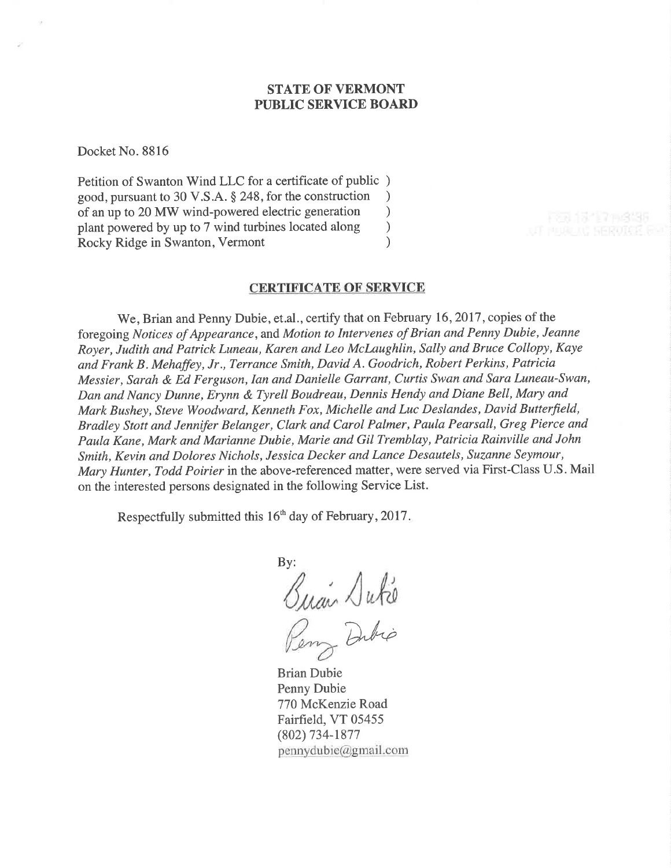## STATE OF VERMONT PUBLIC SERVICE BOARD

Docket No. 8816

Petition of Swanton Wind LLC for a certificate of public ) good, pursuant to 30 V.S.A. § 248, for the construction <br>of an up to 20 MW wind-powered electric generation  $\qquad$ of an up to 20 MW wind-powered electric generation<br>plant powered by up to 7 wind turbines located along plant powered by up to 7 wind turbines located along <br>Rocky Ridge in Swanton. Vermont (a) Rocky Ridge in Swanton, Vermont )

#### CERTIFICATE OF SERVICE

We, Brian and Penny Dubie, et.al., certify that on February 16, 2017, copies of the foregoing Notices of Appearance, and Motion to Intervenes of Brian and Penny Dubie, Jeanne Royer, Judith and Patrick Luneau, Karen and Leo Mclaughlin, Salþ and Bruce Collopy, Kaye and Frank B. Mehaffey, Jr., Terrance Smith, David A. Goodrich, Robert Perkins, Patricia Messier, Sarah & Ed Ferguson, Ian and Danielle Garrant, Curtis Swan and Sara Luneau-Swan, Dan and Nancy Dunne, Erynn & Tyrell Boudreau, Dennis Hendy and Diane Bell, Mary and Mark Bushey, Steve Woodward, Kenneth Fox, Michelle and Luc Deslandes, David Butterfield, Bradley Stott and Jennifer Belanger, Clark and Carol Palmer, Paula Pearsall, Greg Pierce and Paula Kane, Mark and Marianne Dubie, Marie and Gil Tremblay, Patricia Rainville and John Smith, Kevin and Dolores Nichols, Jessica Decker and Lance Desautels, Suzanne Seymour, Mary Hunter, Todd Poirier in the above-referenced matter, were served via First-Class U.S. Mail on the interested persons designated in the following Service List.

Respectfully submitted this  $16<sup>th</sup>$  day of February, 2017.

By:  $\bigtriangleup$ u $k$ i

Dubio Brian Dubie Penny Dubie

770 McKenzie Road Fairfield, VT 05455 (802) 734-1877  $pennydubic@gmail.com$